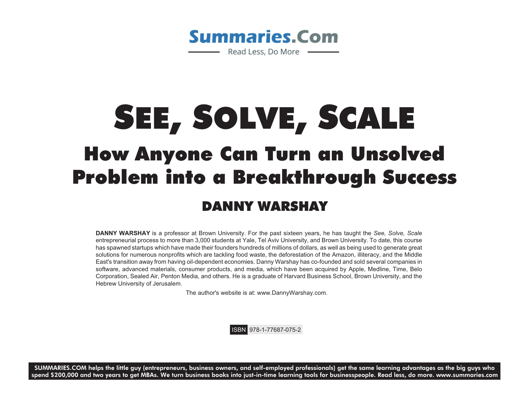

## SEE, SOLVE, SCALE How Anyone Can Turn an Unsolved Problem into a Breakthrough Success DANNY WARSHAY

**DANNY WARSHAY** is a professor at Brown University. For the past sixteen years, he has taught the *See, Solve, Scale* entrepreneurial process to more than 3,000 students at Yale, Tel Aviv University, and Brown University. To date, this course has spawned startups which have made their founders hundreds of millions of dollars, as well as being used to generate great solutions for numerous nonprofits which are tackling food waste, the deforestation of the Amazon, illiteracy, and the Middle East's transition away from having oil-dependent economies. Danny Warshay has co-founded and sold several companies in software, advanced materials, consumer products, and media, which have been acquired by Apple, Medline, Time, Belo Corporation, Sealed Air, Penton Media, and others. He is a graduate of Harvard Business School, Brown University, and the Hebrew University of Jerusalem.

The author's website is at: www.DannyWarshay.com.

ISBN 978-1-77687-075-2

**SUMMARIES.COM helps the little guy (entrepreneurs, business owners, and self-employed professionals) get the same learning advantages as the big guys who spend \$200,000 and two years to get MBAs. We turn business books into just-in-time learning tools for businesspeople. Read less, do more. www.summaries.com**